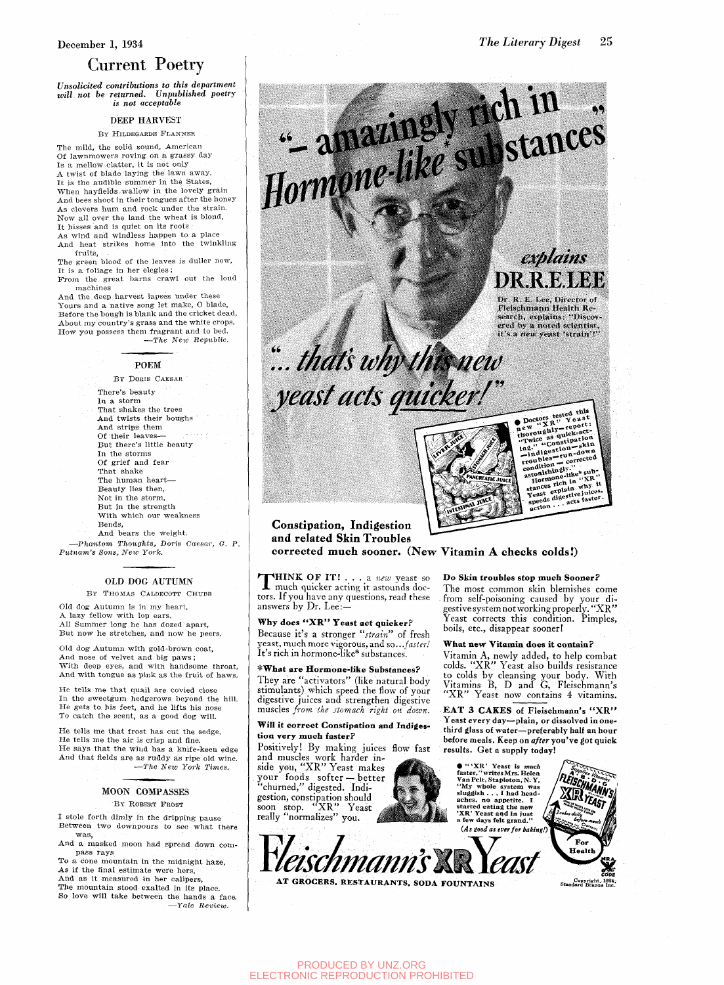### December 1, 1934

### Current Poetry

*Unsolicited contributions to this department will not be returned. Unpublished poetry is not acceptable* 

#### DEEP HARVEST

BY HILDEGARDE FLANNEK

The mild, the solid sound, American Of lawnmowers roving on a grassy day Is a mellow clatter, it is not only A twist of blade laying the lawn away. It this of state mying the states, When hayflelds.wallow in the lovely grain And bees shoot in their tongues after the honey<br>As clovers hum and rock under the strain. Now all over the land the wheat is blond, It hisses and is quiet on its roots

As wind and windless happen to a place As wind and windless happen to a place And heat strikes home into the twinkling

fruits. It is a foliage in her elegies;

It is a foliage in her elegies; From the great barns complete the low-

machines<br>And the deep harvest lapses under these And the deep harvest lapses under these Tours and a native song fee mans, or stars, About my country's grass and the white crops, About my country's grass and the white crops.<br>How you nossess them fragrant and to hed. How you possess them fragrant and to bed. —*The New Republic.* 

#### POEM

BY DORIS CAESAR There's beauty In a storm That shakes the trees And twists their boughs And strips them Of their leaves— But there's little beauty In the storms Of grief and fear That shake The human heart— Beauty lies then, Not in the storm. But in the strength With which our weakness Bends, And bears the weight.

—*Phantom Thoughts^ Doris Caesar^ G. P. Putnam's Sons, New York.* 

### OLD DOG AUTUMN

BY THOMAS CALDECOTT CHUBB

Old dog Autumn is in my heart, A lazy fellow with lop ears. All Summer long he has dozed apart, But now he stretches, and now he peers.

Old dog Autumn with gold-brown coat. And nose of velvet and big paws ; With deep eyes, and with handsome throat, And with tongue as pink as the fruit of haws.

He tells me that quail are covied close In the sweetgum hedgerows beyond the hill. He gets to his feet, and he lifts his nose To catch the scent, as a good dog will.

He tells me that frost has cut the sedge. He tells me the air is crisp and fine. He says that the wind has a knife-keen edge And that fields are as ruddy as ripe old wine. —*The New York Times.* 

### MOON COMPASSES

By ROBERT FROST

I stole forth dimly in the dripping pause Between two downpours to see what there was,

And a masked moon had spread down compass rays

To a cone mountain in the midnight haze. As if the final estimate were hers,

And as it measured in her calipers, The mountain stood exalted in its place. So love will take between the hands a face. —*Yale Review.* 



tors. If you have any questions, read these answers by Dr. Lee:-

## Why does "XR" Yeast act quicker?

Because it's a stronger *"strain"* of fresh yeast, much more vigorous, and so.. *.faster!*  It's rich in hormone-like\* substances.

\*What are Hormone-like Substances? They are "activators" (like natural body stimulants) which speed the flow of your

digestive juices and strengthen digestive **muscles** *from the stomach right on down.* 

### Will it correct Constipation and Indigestion very much faster?

Positively! By making juices flow fast and muscles work harder in-

The most common skin blemishes come from self-poisoning caused by your digestive system not working properly. "XR " Yeast corrects this condition. Pimples, boils, etc., disappear sooner!

### What new Vitamin does it contain?

Vitamin A, newly added, to help combat colds. "XR" Yeast also builds resistance to colds by cleansing your body. With Vitamins B, D and G, Fleischmann's "XR" Yeast now contains 4 vitamins.

EAT 3 CAKES of Fleischmann's "XR" Yeast every day—plain, or dissolved in onethird glass of water—preferably half an hour before meals. Keep on after you've got quick results. Get a supply today!